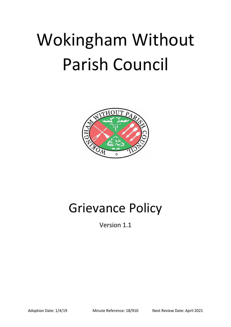# Wokingham Without Parish Council



# Grievance Policy

Version 1.1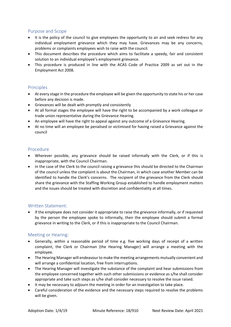# Purpose and Scope

- It is the policy of the council to give employees the opportunity to air and seek redress for any individual employment grievance which they may have. Grievances may be any concerns, problems or complaints employees wish to raise with the council.
- This document describes the procedure which aims to facilitate a speedy, fair and consistent solution to an individual employee's employment grievance.
- This procedure is produced in line with the ACAS Code of Practice 2009 as set out in the Employment Act 2008.

# Principles

- At every stage in the procedure the employee will be given the opportunity to state his or her case before any decision is made.
- Grievances will be dealt with promptly and consistently
- At all formal stages the employee will have the right to be accompanied by a work colleague or trade union representative during the Grievance Hearing.
- An employee will have the right to appeal against any outcome of a Grievance Hearing.
- At no time will an employee be penalised or victimised for having raised a Grievance against the council

#### Procedure

- Wherever possible, any grievance should be raised informally with the Clerk, or if this is inappropriate, with the Council Chairman.
- In the case of the Clerk to the council raising a grievance this should be directed to the Chairman of the council unless the complaint is about the Chairman, in which case another Member can be identified to handle the Clerk's concerns. The recipient of the grievance from the Clerk should share the grievance with the Staffing Working Group established to handle employment matters and the issues should be treated with discretion and confidentiality at all times.

# Written Statement:

• If the employee does not consider it appropriate to raise the grievance informally, or if requested by the person the employee spoke to informally, then the employee should submit a formal grievance in writing to the Clerk, or if this is inappropriate to the Council Chairman.

# Meeting or Hearing:

- Generally, within a reasonable period of time e.g. five working days of receipt of a written complaint, the Clerk or Chairman (the Hearing Manager) will arrange a meeting with the employee.
- The Hearing Manager will endeavour to make the meeting arrangements mutually convenient and will arrange a confidential location, free from interruptions.
- The Hearing Manager will investigate the substance of the complaint and hear submissions from the employee concerned together with such other submissions or evidence as s/he shall consider appropriate and take such steps as s/he shall consider necessary to resolve the issue raised.
- It may be necessary to adjourn the meeting in order for an investigation to take place.
- Careful consideration of the evidence and the necessary steps required to resolve the problems will be given.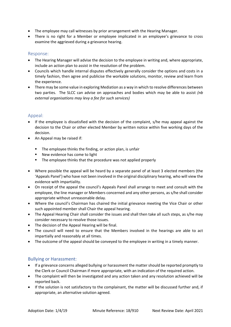- The employee may call witnesses by prior arrangement with the Hearing Manager.
- There is no right for a Member or employee implicated in an employee's grievance to cross examine the aggrieved during a grievance hearing.

# Response:

- The Hearing Manager will advise the decision to the employee in writing and, where appropriate, include an action plan to assist in the resolution of the problem.
- Councils which handle internal disputes effectively generally consider the options and costs in a timely fashion, then agree and publicise the workable solutions, monitor, review and learn from the experience.
- There may be some value in exploring Mediation as a way in which to resolve differences between two parties. The SLCC can advise on approaches and bodies which may be able to assist *(nb external organisations may levy a fee for such services)*

# Appeal:

- If the employee is dissatisfied with the decision of the complaint, s/he may appeal against the decision to the Chair or other elected Member by written notice within five working days of the decision.
- An Appeal may be raised if:
	- The employee thinks the finding, or action plan, is unfair
	- New evidence has come to light
	- The employee thinks that the procedure was not applied properly
- Where possible the appeal will be heard by a separate panel of at least 3 elected members (the 'Appeals Panel') who have not been involved in the original disciplinary hearing, who will view the evidence with impartiality.
- On receipt of the appeal the council's Appeals Panel shall arrange to meet and consult with the employee, the line manager or Members concerned and any other persons, as s/he shall consider appropriate without unreasonable delay.
- Where the council's Chairman has chaired the initial grievance meeting the Vice Chair or other such appointed member shall Chair the appeal hearing.
- The Appeal Hearing Chair shall consider the issues and shall then take all such steps, as s/he may consider necessary to resolve those issues.
- The decision of the Appeal Hearing will be final.
- The council will need to ensure that the Members involved in the hearings are able to act impartially and reasonably at all times.
- The outcome of the appeal should be conveyed to the employee in writing in a timely manner.

# Bullying or Harassment:

- If a grievance concerns alleged bullying or harassment the matter should be reported promptly to the Clerk or Council Chairman if more appropriate, with an indication of the required action.
- The complaint will then be investigated and any action taken and any resolution achieved will be reported back.
- If the solution is not satisfactory to the complainant, the matter will be discussed further and, if appropriate, an alternative solution agreed.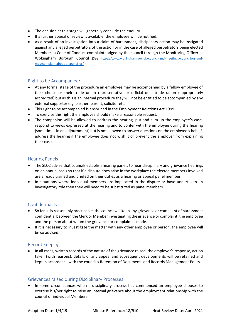- The decision at this stage will generally conclude the enquiry.
- If a further appeal or review is available, the employee will be notified.
- As a result of an investigation into a claim of harassment, disciplinary action may be instigated against any alleged perpetrators of the action or in the case of alleged perpetrators being elected Members, a Code of Conduct complaint lodged by the council through the Monitoring Officer at Wokingham Borough Council (See [https://www.wokingham.gov.uk/council-and-meetings/councillors-and](https://www.wokingham.gov.uk/council-and-meetings/councillors-and-mps/complain-about-a-councillor/)[mps/complain-about-a-councillor/](https://www.wokingham.gov.uk/council-and-meetings/councillors-and-mps/complain-about-a-councillor/) )

# Right to be Accompanied:

- At any formal stage of the procedure an employee may be accompanied by a fellow employee of their choice or their trade union representative or official of a trade union (appropriately accredited) but as this is an internal procedure they will not be entitled to be accompanied by any external supporter e.g. partner, parent, solicitor etc.
- This right to be accompanied is enshrined in the Employment Relations Act 1999.
- To exercise this right the employee should make a reasonable request.
- The companion will be allowed to address the hearing, put and sum up the employee's case, respond to views expressed at the hearing and to confer with the employee during the hearing (sometimes in an adjournment) but is not allowed to answer questions on the employee's behalf, address the hearing if the employee does not wish it or prevent the employer from explaining their case.

# Hearing Panels

- The SLCC advise that councils establish hearing panels to hear disciplinary and grievance hearings on an annual basis so that if a dispute does arise in the workplace the elected members involved are already trained and briefed on their duties as a hearing or appeal panel member.
- In situations where individual members are implicated in the dispute or have undertaken an investigatory role then they will need to be substituted as panel members.

# Confidentiality:

- So far as is reasonably practicable, the council will keep any grievance or complaint of harassment confidential between the Clerk or Member investigating the grievance or complaint, the employee and the person about whom the grievance or complaint is made.
- If it is necessary to investigate the matter with any other employee or person, the employee will be so advised.

# Record Keeping:

• In all cases, written records of the nature of the grievance raised, the employer's response, action taken (with reasons), details of any appeal and subsequent developments will be retained and kept in accordance with the council's Retention of Documents and Records Management Policy.

# Grievances raised during Disciplinary Processes

• In some circumstances when a disciplinary process has commenced an employee chooses to exercise his/her right to raise an internal grievance about the employment relationship with the council or individual Members.